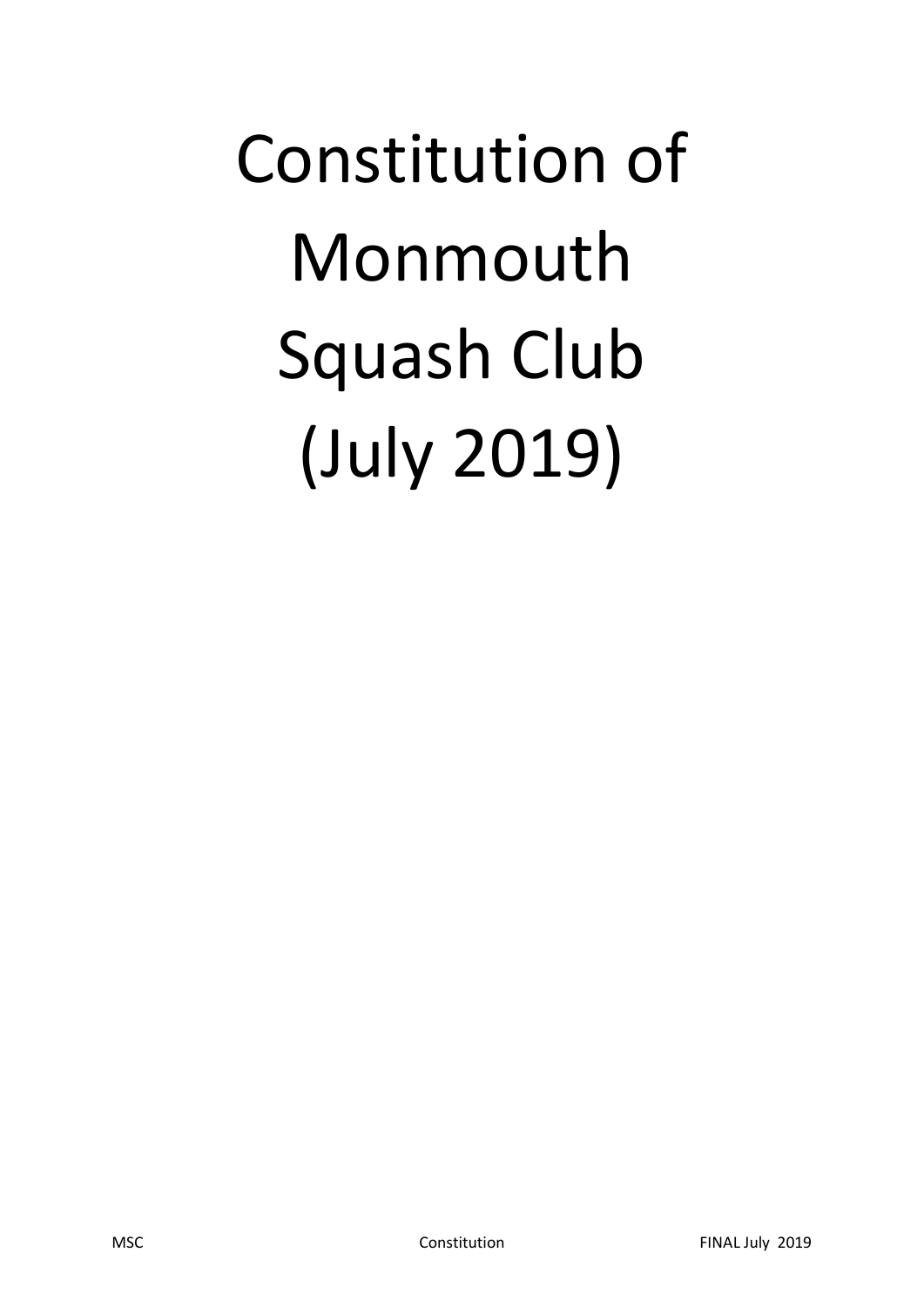# Constitution of Monmouth Squash Club (July 2019)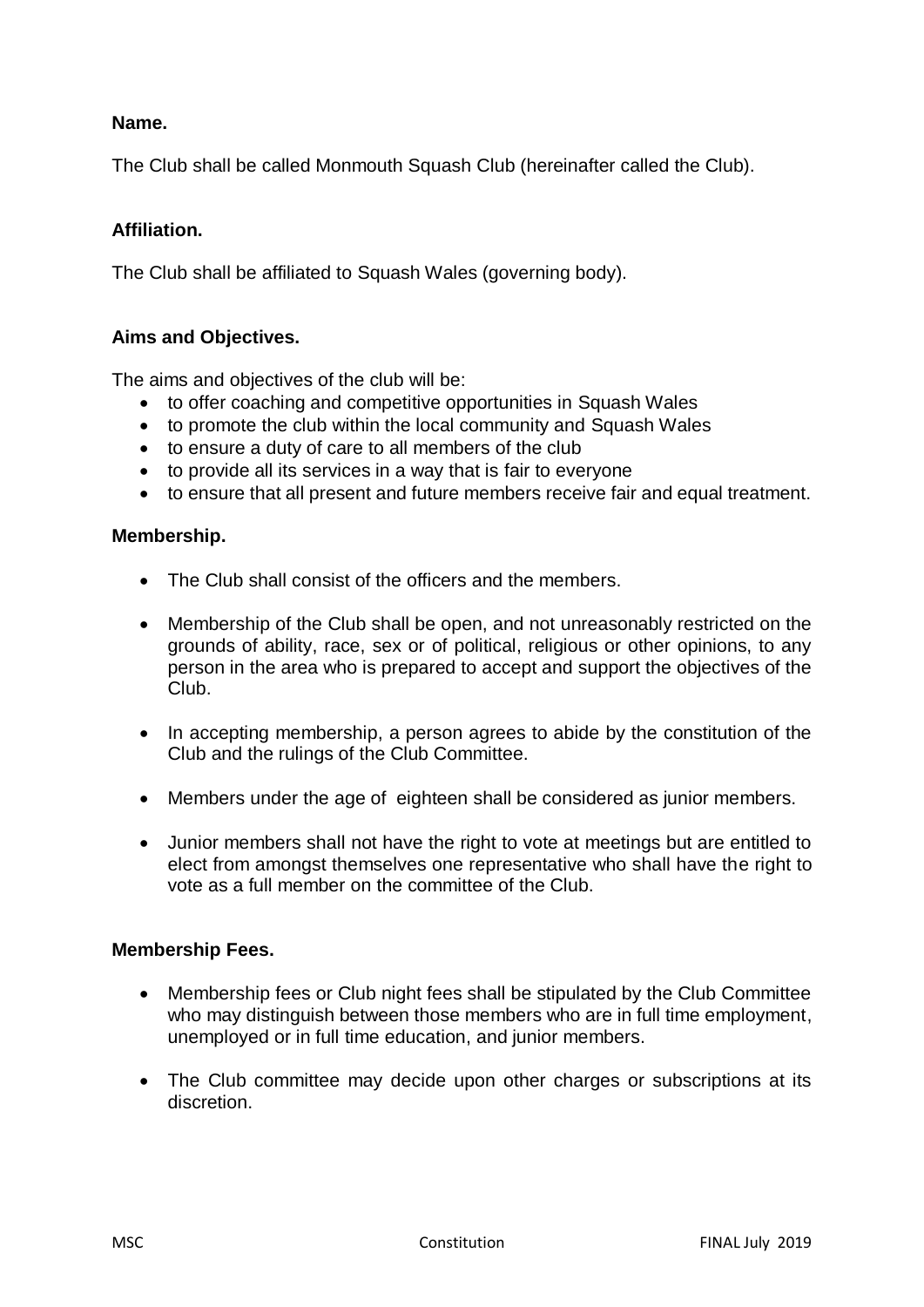# **Name.**

The Club shall be called Monmouth Squash Club (hereinafter called the Club).

# **Affiliation.**

The Club shall be affiliated to Squash Wales (governing body).

# **Aims and Objectives.**

The aims and objectives of the club will be:

- to offer coaching and competitive opportunities in Squash Wales
- to promote the club within the local community and Squash Wales
- to ensure a duty of care to all members of the club
- to provide all its services in a way that is fair to everyone
- to ensure that all present and future members receive fair and equal treatment.

#### **Membership.**

- The Club shall consist of the officers and the members.
- Membership of the Club shall be open, and not unreasonably restricted on the grounds of ability, race, sex or of political, religious or other opinions, to any person in the area who is prepared to accept and support the objectives of the Club.
- In accepting membership, a person agrees to abide by the constitution of the Club and the rulings of the Club Committee.
- Members under the age of eighteen shall be considered as junior members.
- Junior members shall not have the right to vote at meetings but are entitled to elect from amongst themselves one representative who shall have the right to vote as a full member on the committee of the Club.

#### **Membership Fees.**

- Membership fees or Club night fees shall be stipulated by the Club Committee who may distinguish between those members who are in full time employment, unemployed or in full time education, and junior members.
- The Club committee may decide upon other charges or subscriptions at its discretion.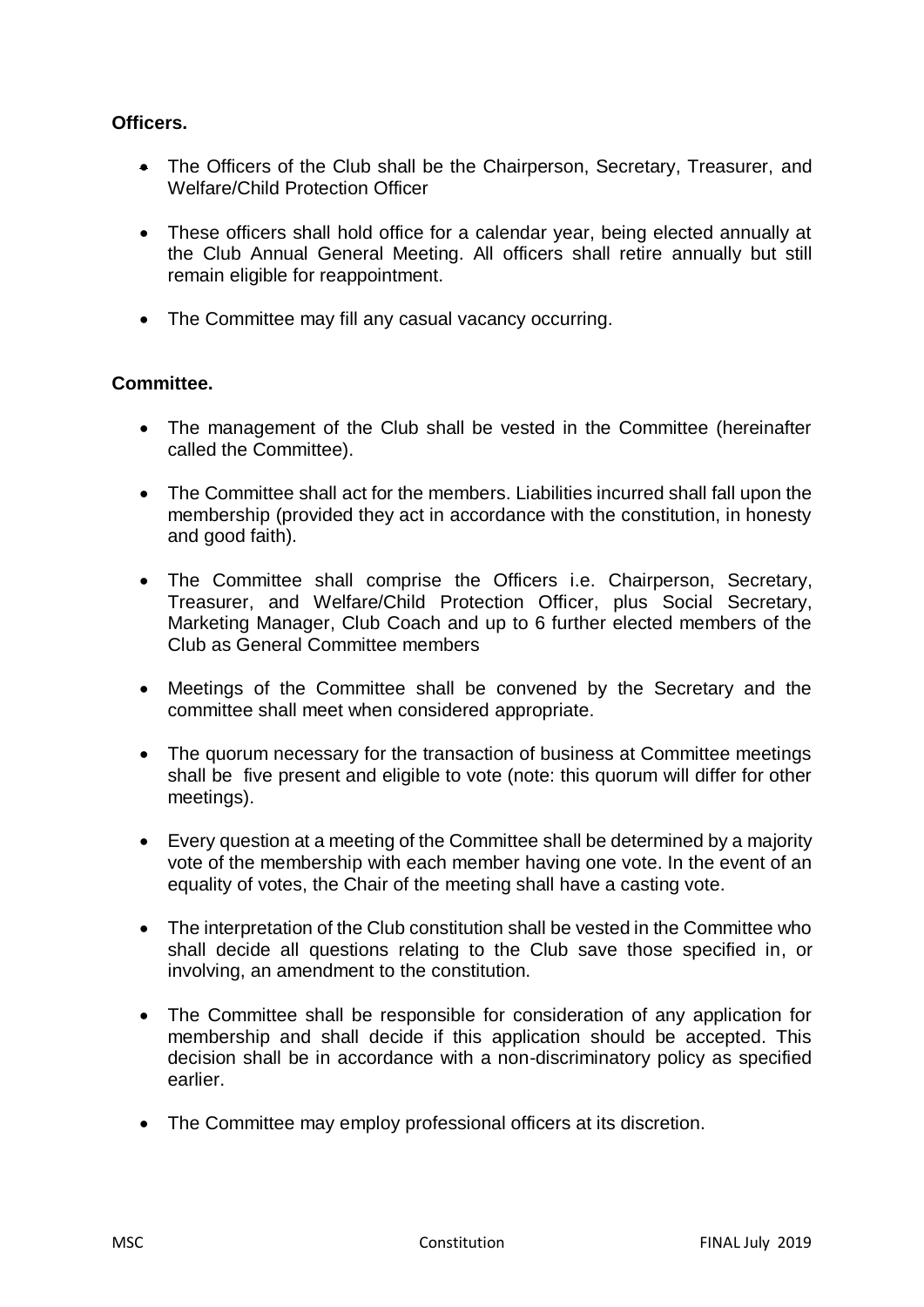# **Officers.**

- The Officers of the Club shall be the Chairperson, Secretary, Treasurer, and Welfare/Child Protection Officer
- These officers shall hold office for a calendar year, being elected annually at the Club Annual General Meeting. All officers shall retire annually but still remain eligible for reappointment.
- The Committee may fill any casual vacancy occurring.

# **Committee.**

- The management of the Club shall be vested in the Committee (hereinafter called the Committee).
- The Committee shall act for the members. Liabilities incurred shall fall upon the membership (provided they act in accordance with the constitution, in honesty and good faith).
- The Committee shall comprise the Officers i.e. Chairperson, Secretary, Treasurer, and Welfare/Child Protection Officer, plus Social Secretary, Marketing Manager, Club Coach and up to 6 further elected members of the Club as General Committee members
- Meetings of the Committee shall be convened by the Secretary and the committee shall meet when considered appropriate.
- The quorum necessary for the transaction of business at Committee meetings shall be five present and eligible to vote (note: this quorum will differ for other meetings).
- Every question at a meeting of the Committee shall be determined by a majority vote of the membership with each member having one vote. In the event of an equality of votes, the Chair of the meeting shall have a casting vote.
- The interpretation of the Club constitution shall be vested in the Committee who shall decide all questions relating to the Club save those specified in, or involving, an amendment to the constitution.
- The Committee shall be responsible for consideration of any application for membership and shall decide if this application should be accepted. This decision shall be in accordance with a non-discriminatory policy as specified earlier.
- The Committee may employ professional officers at its discretion.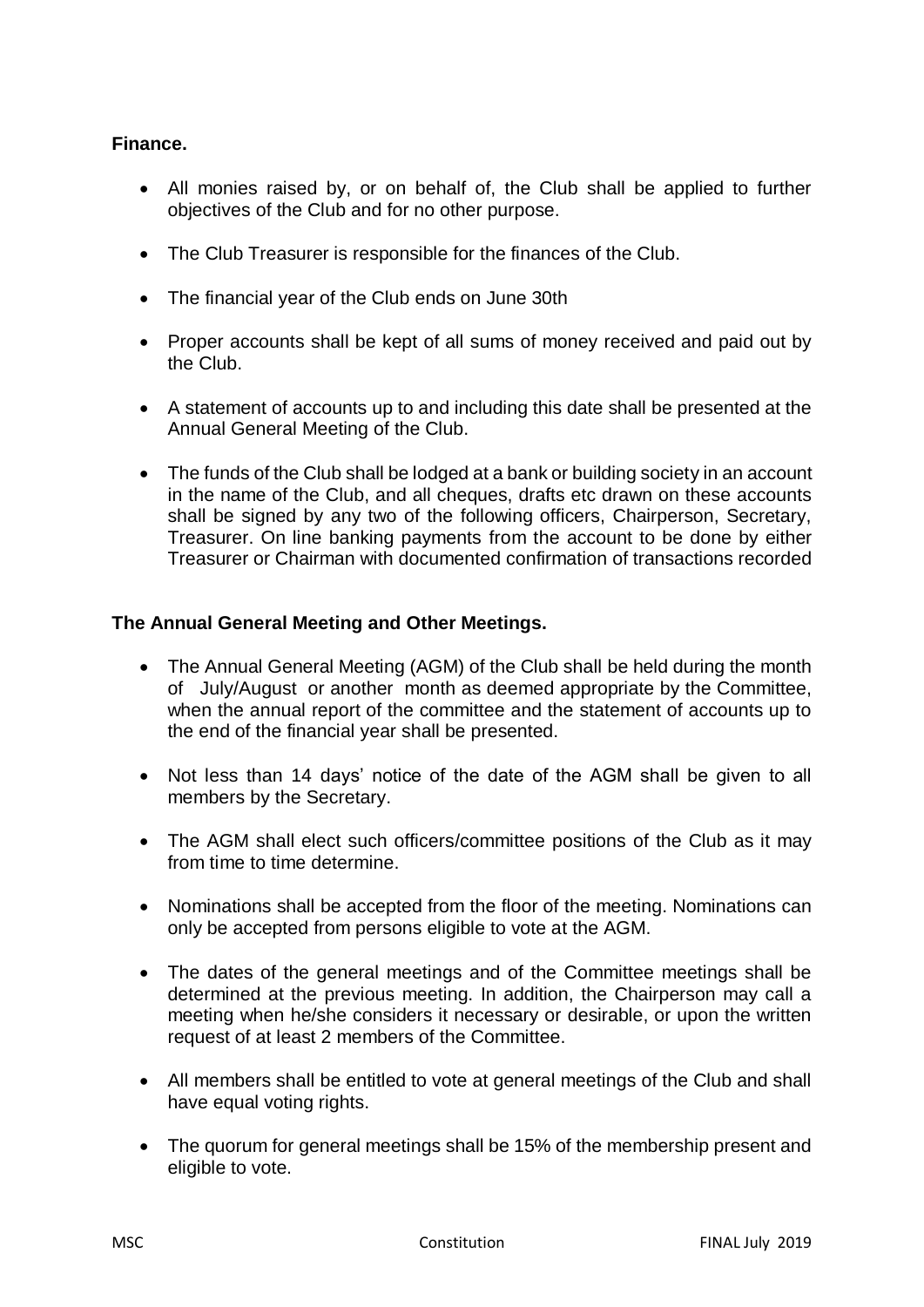# **Finance.**

- All monies raised by, or on behalf of, the Club shall be applied to further objectives of the Club and for no other purpose.
- The Club Treasurer is responsible for the finances of the Club.
- The financial year of the Club ends on June 30th
- Proper accounts shall be kept of all sums of money received and paid out by the Club.
- A statement of accounts up to and including this date shall be presented at the Annual General Meeting of the Club.
- The funds of the Club shall be lodged at a bank or building society in an account in the name of the Club, and all cheques, drafts etc drawn on these accounts shall be signed by any two of the following officers, Chairperson, Secretary, Treasurer. On line banking payments from the account to be done by either Treasurer or Chairman with documented confirmation of transactions recorded

#### **The Annual General Meeting and Other Meetings.**

- The Annual General Meeting (AGM) of the Club shall be held during the month of July/August or another month as deemed appropriate by the Committee, when the annual report of the committee and the statement of accounts up to the end of the financial year shall be presented.
- Not less than 14 days' notice of the date of the AGM shall be given to all members by the Secretary.
- The AGM shall elect such officers/committee positions of the Club as it may from time to time determine.
- Nominations shall be accepted from the floor of the meeting. Nominations can only be accepted from persons eligible to vote at the AGM.
- The dates of the general meetings and of the Committee meetings shall be determined at the previous meeting. In addition, the Chairperson may call a meeting when he/she considers it necessary or desirable, or upon the written request of at least 2 members of the Committee.
- All members shall be entitled to vote at general meetings of the Club and shall have equal voting rights.
- The quorum for general meetings shall be 15% of the membership present and eligible to vote.